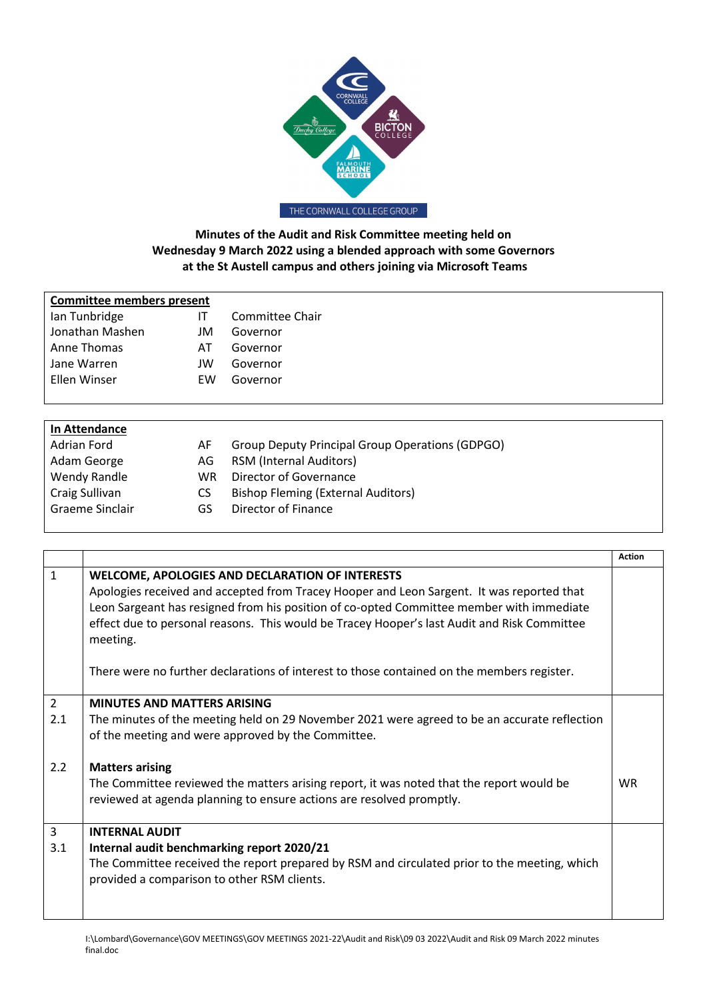

## **Minutes of the Audit and Risk Committee meeting held on Wednesday 9 March 2022 using a blended approach with some Governors at the St Austell campus and others joining via Microsoft Teams**

| <b>Committee members present</b> |    |                 |  |
|----------------------------------|----|-----------------|--|
| Ian Tunbridge                    |    | Committee Chair |  |
| Jonathan Mashen                  | JM | Governor        |  |
| Anne Thomas                      | AT | Governor        |  |
| Jane Warren                      | JW | Governor        |  |
| Ellen Winser                     | EW | Governor        |  |
|                                  |    |                 |  |

| In Attendance   |     |                                                 |
|-----------------|-----|-------------------------------------------------|
| Adrian Ford     | AF. | Group Deputy Principal Group Operations (GDPGO) |
| Adam George     | AG. | <b>RSM (Internal Auditors)</b>                  |
| Wendy Randle    | WR. | Director of Governance                          |
| Craig Sullivan  | CS  | <b>Bishop Fleming (External Auditors)</b>       |
| Graeme Sinclair | GS  | Director of Finance                             |
|                 |     |                                                 |

|                |                                                                                              | <b>Action</b> |
|----------------|----------------------------------------------------------------------------------------------|---------------|
| $\mathbf{1}$   | <b>WELCOME, APOLOGIES AND DECLARATION OF INTERESTS</b>                                       |               |
|                | Apologies received and accepted from Tracey Hooper and Leon Sargent. It was reported that    |               |
|                | Leon Sargeant has resigned from his position of co-opted Committee member with immediate     |               |
|                | effect due to personal reasons. This would be Tracey Hooper's last Audit and Risk Committee  |               |
|                | meeting.                                                                                     |               |
|                |                                                                                              |               |
|                | There were no further declarations of interest to those contained on the members register.   |               |
|                |                                                                                              |               |
| $\overline{2}$ | <b>MINUTES AND MATTERS ARISING</b>                                                           |               |
| 2.1            | The minutes of the meeting held on 29 November 2021 were agreed to be an accurate reflection |               |
|                | of the meeting and were approved by the Committee.                                           |               |
|                |                                                                                              |               |
| 2.2            | <b>Matters arising</b>                                                                       |               |
|                | The Committee reviewed the matters arising report, it was noted that the report would be     | <b>WR</b>     |
|                | reviewed at agenda planning to ensure actions are resolved promptly.                         |               |
|                |                                                                                              |               |
| 3              | <b>INTERNAL AUDIT</b>                                                                        |               |
| 3.1            | Internal audit benchmarking report 2020/21                                                   |               |
|                | The Committee received the report prepared by RSM and circulated prior to the meeting, which |               |
|                | provided a comparison to other RSM clients.                                                  |               |
|                |                                                                                              |               |
|                |                                                                                              |               |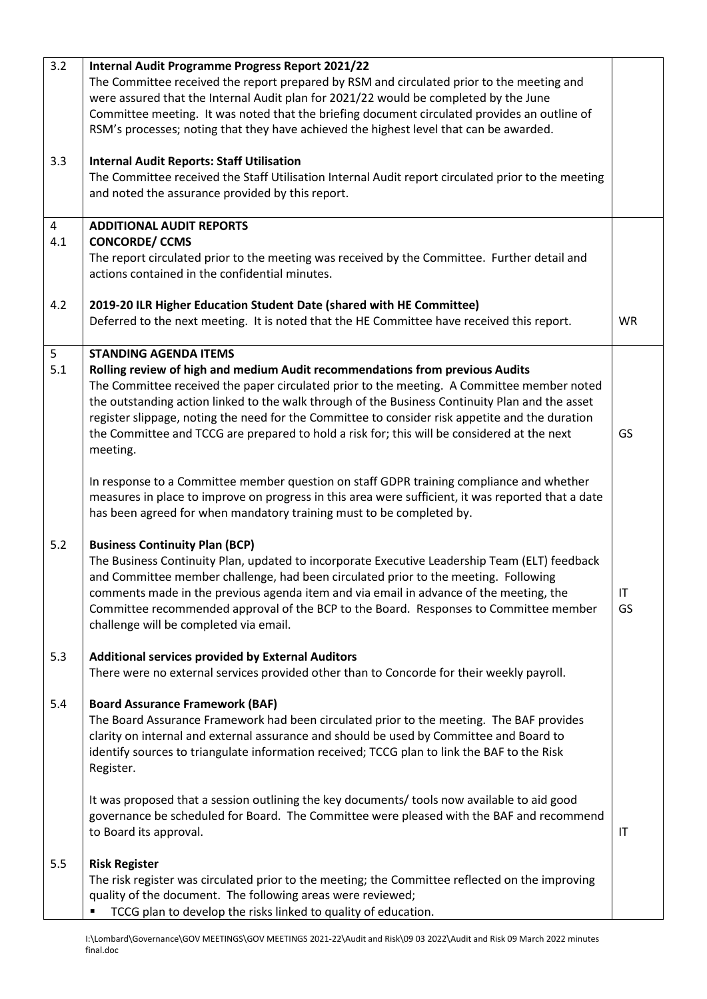| 3.2      | Internal Audit Programme Progress Report 2021/22<br>The Committee received the report prepared by RSM and circulated prior to the meeting and<br>were assured that the Internal Audit plan for 2021/22 would be completed by the June<br>Committee meeting. It was noted that the briefing document circulated provides an outline of<br>RSM's processes; noting that they have achieved the highest level that can be awarded.                                                                                             |           |
|----------|-----------------------------------------------------------------------------------------------------------------------------------------------------------------------------------------------------------------------------------------------------------------------------------------------------------------------------------------------------------------------------------------------------------------------------------------------------------------------------------------------------------------------------|-----------|
| 3.3      | <b>Internal Audit Reports: Staff Utilisation</b><br>The Committee received the Staff Utilisation Internal Audit report circulated prior to the meeting<br>and noted the assurance provided by this report.                                                                                                                                                                                                                                                                                                                  |           |
| 4        | <b>ADDITIONAL AUDIT REPORTS</b>                                                                                                                                                                                                                                                                                                                                                                                                                                                                                             |           |
| 4.1      | <b>CONCORDE/ CCMS</b><br>The report circulated prior to the meeting was received by the Committee. Further detail and<br>actions contained in the confidential minutes.                                                                                                                                                                                                                                                                                                                                                     |           |
| 4.2      | 2019-20 ILR Higher Education Student Date (shared with HE Committee)<br>Deferred to the next meeting. It is noted that the HE Committee have received this report.                                                                                                                                                                                                                                                                                                                                                          | <b>WR</b> |
| 5<br>5.1 | <b>STANDING AGENDA ITEMS</b><br>Rolling review of high and medium Audit recommendations from previous Audits<br>The Committee received the paper circulated prior to the meeting. A Committee member noted<br>the outstanding action linked to the walk through of the Business Continuity Plan and the asset<br>register slippage, noting the need for the Committee to consider risk appetite and the duration<br>the Committee and TCCG are prepared to hold a risk for; this will be considered at the next<br>meeting. | GS        |
|          | In response to a Committee member question on staff GDPR training compliance and whether<br>measures in place to improve on progress in this area were sufficient, it was reported that a date<br>has been agreed for when mandatory training must to be completed by.                                                                                                                                                                                                                                                      |           |
| 5.2      | <b>Business Continuity Plan (BCP)</b><br>The Business Continuity Plan, updated to incorporate Executive Leadership Team (ELT) feedback<br>and Committee member challenge, had been circulated prior to the meeting. Following<br>comments made in the previous agenda item and via email in advance of the meeting, the<br>Committee recommended approval of the BCP to the Board. Responses to Committee member<br>challenge will be completed via email.                                                                  | H<br>GS   |
| 5.3      | <b>Additional services provided by External Auditors</b><br>There were no external services provided other than to Concorde for their weekly payroll.                                                                                                                                                                                                                                                                                                                                                                       |           |
| 5.4      | <b>Board Assurance Framework (BAF)</b><br>The Board Assurance Framework had been circulated prior to the meeting. The BAF provides<br>clarity on internal and external assurance and should be used by Committee and Board to<br>identify sources to triangulate information received; TCCG plan to link the BAF to the Risk<br>Register.                                                                                                                                                                                   |           |
|          | It was proposed that a session outlining the key documents/ tools now available to aid good<br>governance be scheduled for Board. The Committee were pleased with the BAF and recommend<br>to Board its approval.                                                                                                                                                                                                                                                                                                           | IT        |
| 5.5      | <b>Risk Register</b><br>The risk register was circulated prior to the meeting; the Committee reflected on the improving<br>quality of the document. The following areas were reviewed;<br>TCCG plan to develop the risks linked to quality of education.                                                                                                                                                                                                                                                                    |           |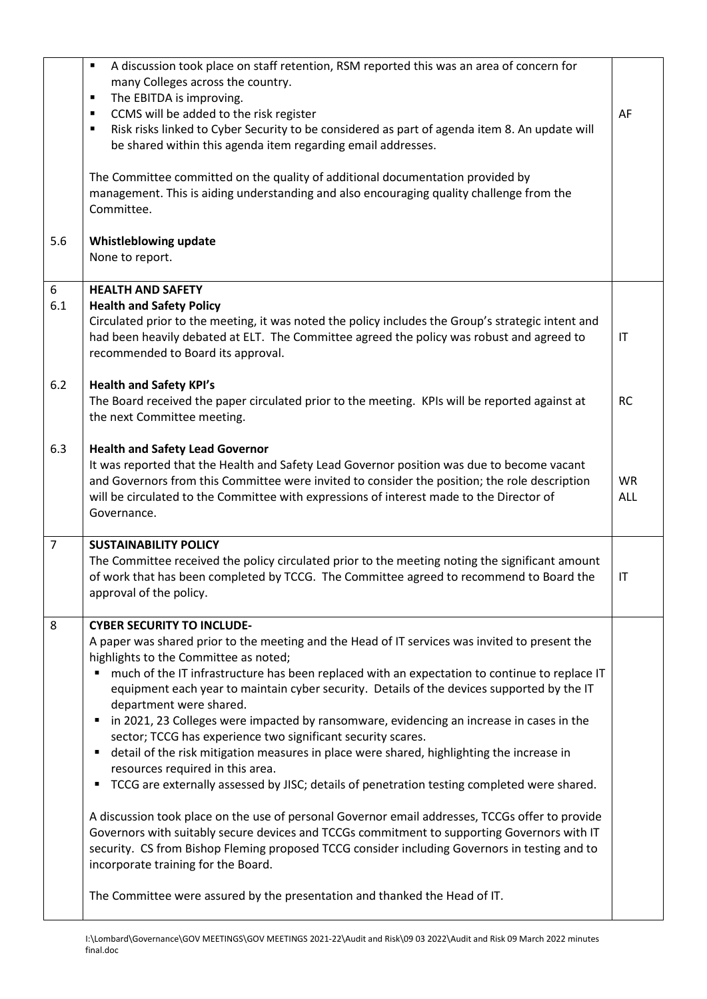| A discussion took place on staff retention, RSM reported this was an area of concern for<br>٠<br>many Colleges across the country.<br>The EBITDA is improving.<br>$\blacksquare$<br>CCMS will be added to the risk register<br>$\blacksquare$<br>Risk risks linked to Cyber Security to be considered as part of agenda item 8. An update will<br>$\blacksquare$<br>be shared within this agenda item regarding email addresses.                                                                                                                                                                                                                                                                                                                                                                                                                                                                                                                                                                                                                                                                                                                                                                                                               | AF                              |
|------------------------------------------------------------------------------------------------------------------------------------------------------------------------------------------------------------------------------------------------------------------------------------------------------------------------------------------------------------------------------------------------------------------------------------------------------------------------------------------------------------------------------------------------------------------------------------------------------------------------------------------------------------------------------------------------------------------------------------------------------------------------------------------------------------------------------------------------------------------------------------------------------------------------------------------------------------------------------------------------------------------------------------------------------------------------------------------------------------------------------------------------------------------------------------------------------------------------------------------------|---------------------------------|
| The Committee committed on the quality of additional documentation provided by<br>management. This is aiding understanding and also encouraging quality challenge from the<br>Committee.                                                                                                                                                                                                                                                                                                                                                                                                                                                                                                                                                                                                                                                                                                                                                                                                                                                                                                                                                                                                                                                       |                                 |
| Whistleblowing update<br>None to report.                                                                                                                                                                                                                                                                                                                                                                                                                                                                                                                                                                                                                                                                                                                                                                                                                                                                                                                                                                                                                                                                                                                                                                                                       |                                 |
| <b>HEALTH AND SAFETY</b>                                                                                                                                                                                                                                                                                                                                                                                                                                                                                                                                                                                                                                                                                                                                                                                                                                                                                                                                                                                                                                                                                                                                                                                                                       |                                 |
| Circulated prior to the meeting, it was noted the policy includes the Group's strategic intent and<br>had been heavily debated at ELT. The Committee agreed the policy was robust and agreed to<br>recommended to Board its approval.                                                                                                                                                                                                                                                                                                                                                                                                                                                                                                                                                                                                                                                                                                                                                                                                                                                                                                                                                                                                          | IT                              |
| <b>Health and Safety KPI's</b><br>The Board received the paper circulated prior to the meeting. KPIs will be reported against at<br>the next Committee meeting.                                                                                                                                                                                                                                                                                                                                                                                                                                                                                                                                                                                                                                                                                                                                                                                                                                                                                                                                                                                                                                                                                | <b>RC</b>                       |
| <b>Health and Safety Lead Governor</b><br>It was reported that the Health and Safety Lead Governor position was due to become vacant<br>and Governors from this Committee were invited to consider the position; the role description<br>will be circulated to the Committee with expressions of interest made to the Director of<br>Governance.                                                                                                                                                                                                                                                                                                                                                                                                                                                                                                                                                                                                                                                                                                                                                                                                                                                                                               | <b>WR</b><br>ALL                |
| <b>SUSTAINABILITY POLICY</b><br>The Committee received the policy circulated prior to the meeting noting the significant amount<br>of work that has been completed by TCCG. The Committee agreed to recommend to Board the<br>approval of the policy.                                                                                                                                                                                                                                                                                                                                                                                                                                                                                                                                                                                                                                                                                                                                                                                                                                                                                                                                                                                          | IT                              |
| <b>CYBER SECURITY TO INCLUDE-</b><br>A paper was shared prior to the meeting and the Head of IT services was invited to present the<br>highlights to the Committee as noted;<br>much of the IT infrastructure has been replaced with an expectation to continue to replace IT<br>٠<br>equipment each year to maintain cyber security. Details of the devices supported by the IT<br>department were shared.<br>in 2021, 23 Colleges were impacted by ransomware, evidencing an increase in cases in the<br>٠<br>sector; TCCG has experience two significant security scares.<br>detail of the risk mitigation measures in place were shared, highlighting the increase in<br>٠<br>resources required in this area.<br>TCCG are externally assessed by JISC; details of penetration testing completed were shared.<br>٠<br>A discussion took place on the use of personal Governor email addresses, TCCGs offer to provide<br>Governors with suitably secure devices and TCCGs commitment to supporting Governors with IT<br>security. CS from Bishop Fleming proposed TCCG consider including Governors in testing and to<br>incorporate training for the Board.<br>The Committee were assured by the presentation and thanked the Head of IT. |                                 |
|                                                                                                                                                                                                                                                                                                                                                                                                                                                                                                                                                                                                                                                                                                                                                                                                                                                                                                                                                                                                                                                                                                                                                                                                                                                | <b>Health and Safety Policy</b> |